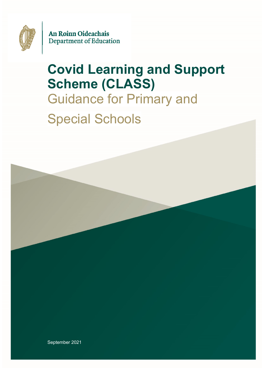

An Roinn Oideachais Department of Education

# **Covid Learning and Support Scheme (CLASS)** Guidance for Primary and Special Schools

September 2021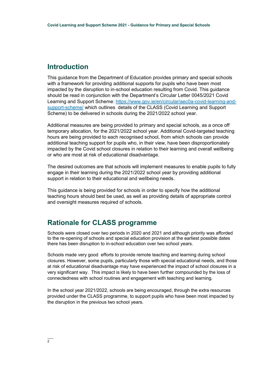## **Introduction**

This guidance from the Department of Education provides primary and special schools with a framework for providing additional supports for pupils who have been most impacted by the disruption to in-school education resulting from Covid. This guidance should be read in conjunction with the Department's Circular Letter 0045/2021 Covid Learning and Support Scheme: [https://www.gov.ie/en/circular/aec0a-covid-learning-and](https://www.gov.ie/en/circular/aec0a-covid-learning-and-support-scheme/)[support-scheme/](https://www.gov.ie/en/circular/aec0a-covid-learning-and-support-scheme/) which outlines details of the CLASS (Covid Learning and Support Scheme) to be delivered in schools during the 2021/2022 school year.

Additional measures are being provided to primary and special schools, as a once off temporary allocation, for the 2021/2022 school year. Additional Covid-targeted teaching hours are being provided to each recognised school, from which schools can provide additional teaching support for pupils who, in their view, have been disproportionately impacted by the Covid school closures in relation to their learning and overall wellbeing or who are most at risk of educational disadvantage.

The desired outcomes are that schools will implement measures to enable pupils to fully engage in their learning during the 2021/2022 school year by providing additional support in relation to their educational and wellbeing needs.

This guidance is being provided for schools in order to specify how the additional teaching hours should best be used, as well as providing details of appropriate control and oversight measures required of schools.

## **Rationale for CLASS programme**

Schools were closed over two periods in 2020 and 2021 and although priority was afforded to the re-opening of schools and special education provision at the earliest possible dates there has been disruption to in-school education over two school years.

Schools made very good efforts to provide remote teaching and learning during school closures. However, some pupils, particularly those with special educational needs, and those at risk of educational disadvantage may have experienced the impact of school closures in a very significant way. This impact is likely to have been further compounded by the loss of connectedness with school routines and engagement with teaching and learning.

In the school year 2021/2022, schools are being encouraged, through the extra resources provided under the CLASS programme, to support pupils who have been most impacted by the disruption in the previous two school years.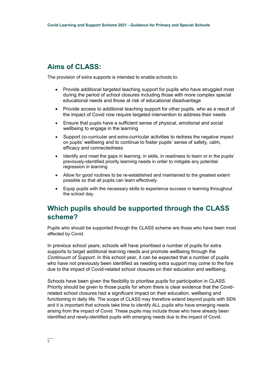# **Aims of CLASS:**

The provision of extra supports is intended to enable schools to:

- Provide additional targeted teaching support for pupils who have struggled most during the period of school closures including those with more complex special educational needs and those at risk of educational disadvantage
- Provide access to additional teaching support for other pupils, who as a result of the impact of Covid now require targeted intervention to address their needs
- Ensure that pupils have a sufficient sense of physical, emotional and social wellbeing to engage in the learning
- Support co-curricular and extra-curricular activities to redress the negative impact on pupils' wellbeing and to continue to foster pupils' sense of safety, calm, efficacy and connectedness
- Identify and meet the gaps in learning, in skills, in readiness to learn or in the pupils' previously-identified priority learning needs in order to mitigate any potential regression in learning
- Allow for good routines to be re-established and maintained to the greatest extent possible so that all pupils can learn effectively
- Equip pupils with the necessary skills to experience success in learning throughout the school day.

# **Which pupils should be supported through the CLASS scheme?**

Pupils who should be supported through the CLASS scheme are those who have been most affected by Covid.

In previous school years, schools will have prioritised a number of pupils for extra supports to target additional learning needs and promote wellbeing through the *Continuum of Support.* In this school year, it can be expected that a number of pupils who have not previously been identified as needing extra support may come to the fore due to the impact of Covid-related school closures on their education and wellbeing.

Schools have been given the flexibility to prioritise pupils for participation in CLASS. Priority should be given to those pupils for whom there is clear evidence that the Covidrelated school closures had a significant impact on their education, wellbeing and functioning in daily life. The scope of CLASS may therefore extend beyond pupils with SEN and it is important that schools take time to identify ALL pupils who have emerging needs arising from the impact of Covid. These pupils may include those who have already been identified and newly-identified pupils with emerging needs due to the impact of Covid.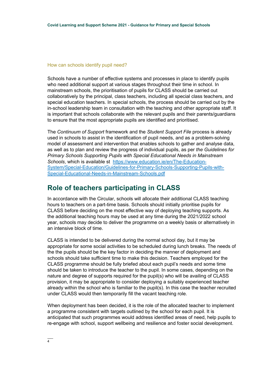#### How can schools identify pupil need?

Schools have a number of effective systems and processes in place to identify pupils who need additional support at various stages throughout their time in school. In mainstream schools, the prioritisation of pupils for CLASS should be carried out collaboratively by the principal, class teachers, including all special class teachers, and special education teachers. In special schools, the process should be carried out by the in-school leadership team in consultation with the teaching and other appropriate staff. It is important that schools collaborate with the relevant pupils and their parents/guardians to ensure that the most appropriate pupils are identified and prioritised.

The *Continuum of Support* framework and the *Student Support File* process is already used in schools to assist in the identification of pupil needs, and as a problem-solving model of assessment and intervention that enables schools to gather and analyse data, as well as to plan and review the progress of individual pupils, as per *the Guidelines for Primary Schools Supporting Pupils with Special Educational Needs in Mainstream Schools*, which is available st [https://www.education.ie/en/The-Education-](https://www.education.ie/en/The-Education-System/Special-Education/Guidelines-for-Primary-Schools-Supporting-Pupils-with-Special-Educational-Needs-in-Mainstream-Schools.pdf)[System/Special-Education/Guidelines-for-Primary-Schools-Supporting-Pupils-with-](https://www.education.ie/en/The-Education-System/Special-Education/Guidelines-for-Primary-Schools-Supporting-Pupils-with-Special-Educational-Needs-in-Mainstream-Schools.pdf)[Special-Educational-Needs-in-Mainstream-Schools.pdf](https://www.education.ie/en/The-Education-System/Special-Education/Guidelines-for-Primary-Schools-Supporting-Pupils-with-Special-Educational-Needs-in-Mainstream-Schools.pdf)

# **Role of teachers participating in CLASS**

In accordance with the Circular, schools will allocate their additional CLASS teaching hours to teachers on a part-time basis. Schools should initially prioritise pupils for CLASS before deciding on the most effective way of deploying teaching supports. As the additional teaching hours may be used at any time during the 2021/2022 school year, schools may decide to deliver the programme on a weekly basis or alternatively in an intensive block of time.

CLASS is intended to be delivered during the normal school day, but it may be appropriate for some social activities to be scheduled during lunch breaks. The needs of the the pupils should be the key factor in deciding the manner of deployment and schools should take sufficient time to make this decision. Teachers employed for the CLASS programme should be fully briefed about each pupil's needs and some time should be taken to introduce the teacher to the pupil. In some cases, depending on the nature and degree of supports required for the pupil(s) who will be availing of CLASS provision, it may be appropriate to consider deploying a suitably experienced teacher already within the school who is familiar to the pupil(s). In this case the teacher recruited under CLASS would then temporarily fill the vacant teaching role.

When deployment has been decided, it is the role of the allocated teacher to implement a programme consistent with targets outlined by the school for each pupil. It is anticipated that such programmes would address identified areas of need, help pupils to re-engage with school, support wellbeing and resilience and foster social development.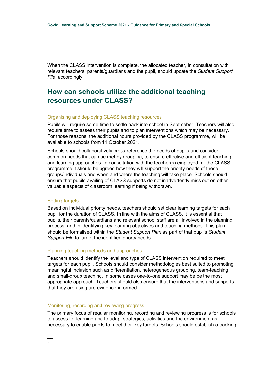When the CLASS intervention is complete, the allocated teacher, in consultation with relevant teachers, parents/guardians and the pupil, should update the *Student Support File* accordingly.

# **How can schools utilize the additional teaching resources under CLASS?**

#### Organising and deploying CLASS teaching resources

Pupils will require some time to settle back into school in Septmeber. Teachers will also require time to assess their pupils and to plan interventions which may be necessary. For those reasons, the additional hours provided by the CLASS programme, will be available to schools from 11 October 2021.

Schools should collaboratively cross-reference the needs of pupils and consider common needs that can be met by grouping, to ensure effective and efficient teaching and learning approaches. In consultation with the teacher(s) employed for the CLASS programme it should be agreed how they will support the priority needs of these groups/individuals and when and where the teaching will take place. Schools should ensure that pupils availing of CLASS supports do not inadvertently miss out on other valuable aspects of classroom learning if being withdrawn.

#### Setting targets

Based on individual priority needs, teachers should set clear learning targets for each pupil for the duration of CLASS. In line with the aims of CLASS, it is essential that pupils, their parents/guardians and relevant school staff are all involved in the planning process, and in identifying key learning objectives and teaching methods. This plan should be formalised within the *Student Support Plan* as part of that pupil's *Student Support File* to target the identified priorty needs.

#### Planning teaching methods and approaches

Teachers should identify the level and type of CLASS intervention required to meet targets for each pupil. Schools should consider methodologies best suited to promoting meaningful inclusion such as differentiation, heterogeneous grouping, team-teaching and small-group teaching. In some cases one-to-one support may be be the most appropriate approach. Teachers should also ensure that the interventions and supports that they are using are evidence-informed.

#### Monitoring, recording and reviewing progress

The primary focus of regular monitoring, recording and reviewing progress is for schools to assess for learning and to adapt strategies, activities and the environment as necessary to enable pupils to meet their key targets. Schools should establish a tracking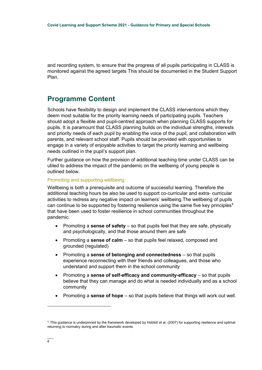and recording system, to ensure that the progress of all pupils participating in CLASS is monitored against the agreed targets This should be documented in the Student Support Plan.

## **Programme Content**

Schools have flexibility to design and implement the CLASS interventions which they deem most suitable for the priority learning needs of participating pupils. Teachers should adopt a flexible and pupil-centred approach when planning CLASS supports for pupils. It is paramount that CLASS planning builds on the individual strengths, interests and priority needs of each pupil by enabling the voice of the pupil, and collaboration with parents, and relevant school staff. Pupils should be provided with opportunities to engage in a variety of enjoyable activities to target the priority learning and wellbeing needs outlined in the pupil's support plan.

Further guidance on how the provision of additional teaching time under CLASS can be utiled to address the impact of the pandemic on the wellbeing of young people is outlined below.

#### Promoting and supporting wellbeing

Wellbeing is both a prerequisite and outcome of successful learning. Therefore the additional teaching hours be also be used to support co-curricular and extra- curricular activities to redress any negative impact on learners' wellbeing.The wellbeing of pupils can continue to be supported by fostering resilience using the same five key principles**<sup>1</sup>** that have been used to foster resilience in school communities throughout the pandemic.

- Promoting a **sense of safety** so that pupils feel that they are safe, physically and psychologically, and that those around them are safe
- Promoting a **sense of calm** so that pupils feel relaxed, composed and grounded (regulated)
- Promoting a **sense of belonging and connectedness** so that pupils experience reconnecting with their friends and colleagues, and those who understand and support them in the school community
- Promoting a **sense of self-efficacy and community-efficacy** so that pupils believe that they can manage and do what is needed individually and as a school community
- Promoting a **sense of hope** so that pupils believe that things will work out well.

 $\overline{a}$ 

**<sup>1</sup>** This guidance is underpinned by the framework developed by Hobfoll et al. (2007) for supporting resilience and optimal returning to normalcy during and after traumatic events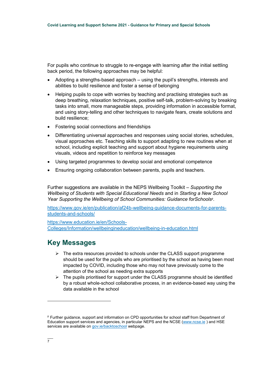For pupils who continue to struggle to re-engage with learning after the initial settling back period, the following approaches may be helpful:

- Adopting a strengths-based approach using the pupil's strengths, interests and abilities to build resilience and foster a sense of belonging
- Helping pupils to cope with worries by teaching and practising strategies such as deep breathing, relaxation techniques, positive self-talk, problem-solving by breaking tasks into small, more manageable steps, providing information in accessible format, and using story-telling and other techniques to navigate fears, create solutions and build resilience;
- Fostering social connections and friendships
- Differentiating universal approaches and responses using social stories, schedules, visual approaches etc. Teaching skills to support adapting to new routines when at school, including explicit teaching and support about hygiene requirements using visuals, videos and repetition to reinforce key messages
- Using targeted programmes to develop social and emotional competence
- Ensuring ongoing collaboration between parents, pupils and teachers.

Further suggestions are available in the NEPS Wellbeing Toolkit – *Supporting the Wellbeing of Students with Special Educational Needs* and in *Starting a New School Year Supporting the Wellbeing of School Communities: Guidance forSchools<sup>2</sup>* .

[https://www.gov.ie/en/publication/af24b-wellbeing-guidance-documents-for-parents](https://www.gov.ie/en/publication/af24b-wellbeing-guidance-documents-for-parents-students-and-schools/)[students-and-schools/](https://www.gov.ie/en/publication/af24b-wellbeing-guidance-documents-for-parents-students-and-schools/)

[https://www.education.ie/en/Schools-](https://www.education.ie/en/Schools-Colleges/Information/wellbeingineducation/wellbeing-in-education.html)[Colleges/Information/wellbeingineducation/wellbeing-in-education.html](https://www.education.ie/en/Schools-Colleges/Information/wellbeingineducation/wellbeing-in-education.html)

## **Key Messages**

- $\triangleright$  The extra resources provided to schools under the CLASS support programme should be used for the pupils who are prioritised by the school as having been most impacted by COVID, including those who may not have previously come to the attention of the school as needing extra supports
- $\triangleright$  The pupils prioritised for support under the CLASS programme should be identified by a robust whole-school collaborative process, in an evidence-based way using the data available in the school

 $\overline{a}$ 

**<sup>2</sup>** Further guidance, support and information on CPD opportunities for school staff from Department of Education support services and agencies, in particular NEPS and the NCSE [\(www.ncse.ie](http://www.ncse.ie/) ) and HSE services are available on [gov.ie/backtoschool](https://www.gov.ie/en/publication/af24b-wellbeing-guidance-documents-for-parents-students-and-schools/) webpage.